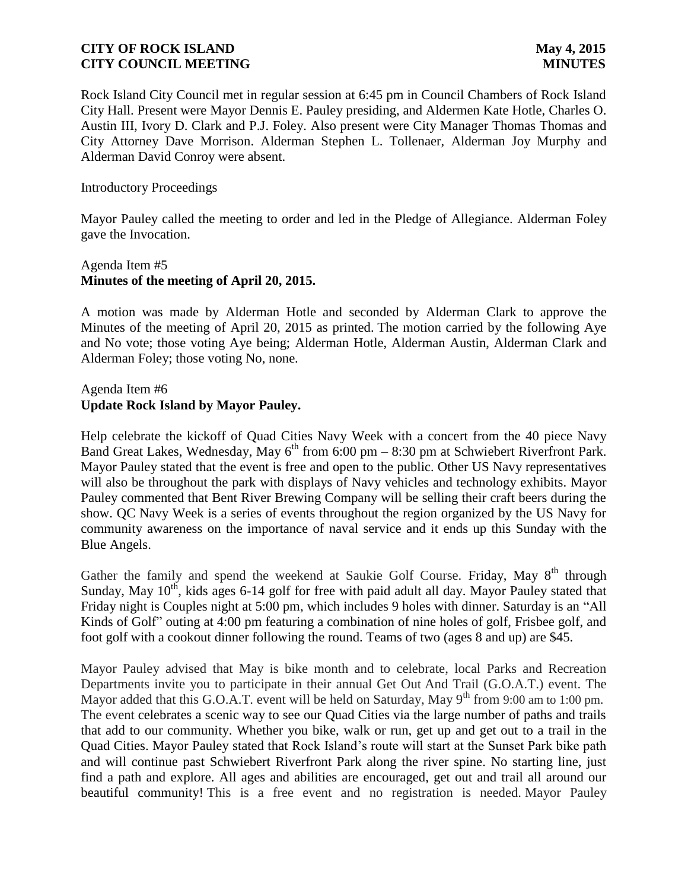Rock Island City Council met in regular session at 6:45 pm in Council Chambers of Rock Island City Hall. Present were Mayor Dennis E. Pauley presiding, and Aldermen Kate Hotle, Charles O. Austin III, Ivory D. Clark and P.J. Foley. Also present were City Manager Thomas Thomas and City Attorney Dave Morrison. Alderman Stephen L. Tollenaer, Alderman Joy Murphy and Alderman David Conroy were absent.

#### Introductory Proceedings

Mayor Pauley called the meeting to order and led in the Pledge of Allegiance. Alderman Foley gave the Invocation.

### Agenda Item #5 **Minutes of the meeting of April 20, 2015.**

A motion was made by Alderman Hotle and seconded by Alderman Clark to approve the Minutes of the meeting of April 20, 2015 as printed. The motion carried by the following Aye and No vote; those voting Aye being; Alderman Hotle, Alderman Austin, Alderman Clark and Alderman Foley; those voting No, none.

# Agenda Item #6 **Update Rock Island by Mayor Pauley.**

Help celebrate the kickoff of Quad Cities Navy Week with a concert from the 40 piece Navy Band Great Lakes, Wednesday, May  $6^{th}$  from 6:00 pm – 8:30 pm at Schwiebert Riverfront Park. Mayor Pauley stated that the event is free and open to the public. Other US Navy representatives will also be throughout the park with displays of Navy vehicles and technology exhibits. Mayor Pauley commented that Bent River Brewing Company will be selling their craft beers during the show. QC Navy Week is a series of events throughout the region organized by the US Navy for community awareness on the importance of naval service and it ends up this Sunday with the Blue Angels.

Gather the family and spend the weekend at Saukie Golf Course. Friday, May  $8<sup>th</sup>$  through Sunday, May  $10^{th}$ , kids ages 6-14 golf for free with paid adult all day. Mayor Pauley stated that Friday night is Couples night at 5:00 pm, which includes 9 holes with dinner. Saturday is an "All Kinds of Golf" outing at 4:00 pm featuring a combination of nine holes of golf, Frisbee golf, and foot golf with a cookout dinner following the round. Teams of two (ages 8 and up) are \$45.

Mayor Pauley advised that May is bike month and to celebrate, local Parks and Recreation Departments invite you to participate in their annual Get Out And Trail (G.O.A.T.) event. The Mayor added that this G.O.A.T. event will be held on Saturday, May  $9<sup>th</sup>$  from 9:00 am to 1:00 pm. The event celebrates a scenic way to see our Quad Cities via the large number of paths and trails that add to our community. Whether you bike, walk or run, get up and get out to a trail in the Quad Cities. Mayor Pauley stated that Rock Island's route will start at the Sunset Park bike path and will continue past Schwiebert Riverfront Park along the river spine. No starting line, just find a path and explore. All ages and abilities are encouraged, get out and trail all around our beautiful community! This is a free event and no registration is needed. Mayor Pauley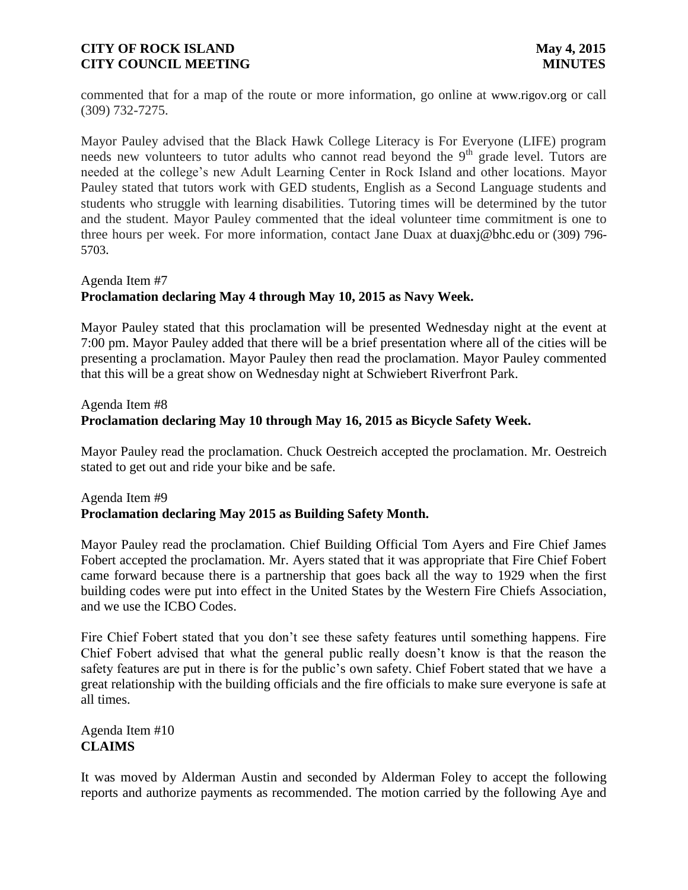commented that for a map of the route or more information, go online at www.rigov.org or call (309) 732-7275.

Mayor Pauley advised that the Black Hawk College Literacy is For Everyone (LIFE) program needs new volunteers to tutor adults who cannot read beyond the 9<sup>th</sup> grade level. Tutors are needed at the college's new Adult Learning Center in Rock Island and other locations. Mayor Pauley stated that tutors work with GED students, English as a Second Language students and students who struggle with learning disabilities. Tutoring times will be determined by the tutor and the student. Mayor Pauley commented that the ideal volunteer time commitment is one to three hours per week. For more information, contact Jane Duax at duaxj@bhc.edu or (309) 796- 5703.

# Agenda Item #7 **Proclamation declaring May 4 through May 10, 2015 as Navy Week.**

Mayor Pauley stated that this proclamation will be presented Wednesday night at the event at 7:00 pm. Mayor Pauley added that there will be a brief presentation where all of the cities will be presenting a proclamation. Mayor Pauley then read the proclamation. Mayor Pauley commented that this will be a great show on Wednesday night at Schwiebert Riverfront Park.

# Agenda Item #8 **Proclamation declaring May 10 through May 16, 2015 as Bicycle Safety Week.**

Mayor Pauley read the proclamation. Chuck Oestreich accepted the proclamation. Mr. Oestreich stated to get out and ride your bike and be safe.

# Agenda Item #9 **Proclamation declaring May 2015 as Building Safety Month.**

Mayor Pauley read the proclamation. Chief Building Official Tom Ayers and Fire Chief James Fobert accepted the proclamation. Mr. Ayers stated that it was appropriate that Fire Chief Fobert came forward because there is a partnership that goes back all the way to 1929 when the first building codes were put into effect in the United States by the Western Fire Chiefs Association, and we use the ICBO Codes.

Fire Chief Fobert stated that you don't see these safety features until something happens. Fire Chief Fobert advised that what the general public really doesn't know is that the reason the safety features are put in there is for the public's own safety. Chief Fobert stated that we have a great relationship with the building officials and the fire officials to make sure everyone is safe at all times.

# Agenda Item #10 **CLAIMS**

It was moved by Alderman Austin and seconded by Alderman Foley to accept the following reports and authorize payments as recommended. The motion carried by the following Aye and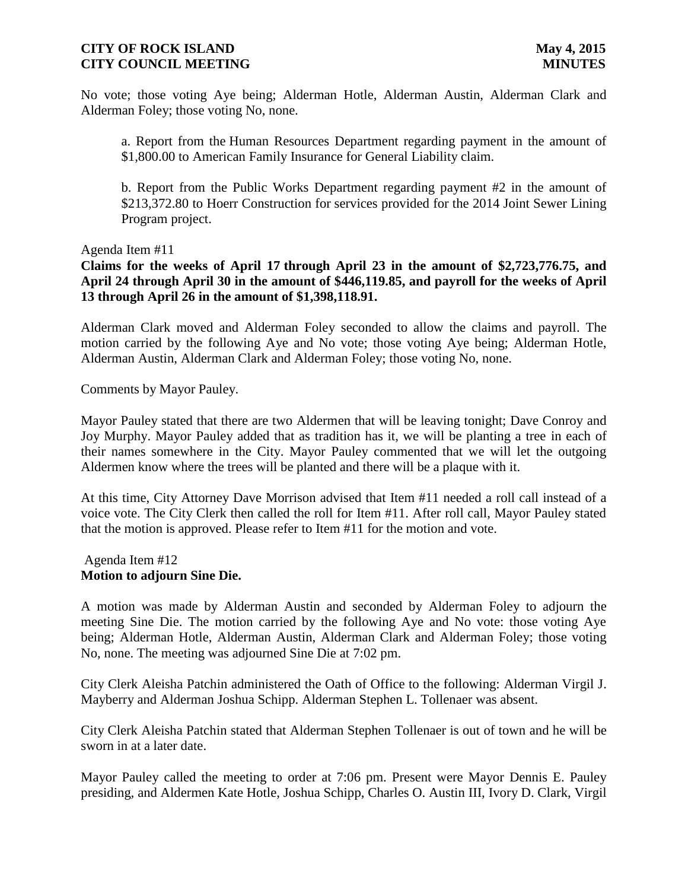No vote; those voting Aye being; Alderman Hotle, Alderman Austin, Alderman Clark and Alderman Foley; those voting No, none.

a. Report from the Human Resources Department regarding payment in the amount of \$1,800.00 to American Family Insurance for General Liability claim.

b. Report from the Public Works Department regarding payment #2 in the amount of \$213,372.80 to Hoerr Construction for services provided for the 2014 Joint Sewer Lining Program project.

Agenda Item #11

**Claims for the weeks of April 17 through April 23 in the amount of \$2,723,776.75, and April 24 through April 30 in the amount of \$446,119.85, and payroll for the weeks of April 13 through April 26 in the amount of \$1,398,118.91.**

Alderman Clark moved and Alderman Foley seconded to allow the claims and payroll. The motion carried by the following Aye and No vote; those voting Aye being; Alderman Hotle, Alderman Austin, Alderman Clark and Alderman Foley; those voting No, none.

Comments by Mayor Pauley.

Mayor Pauley stated that there are two Aldermen that will be leaving tonight; Dave Conroy and Joy Murphy. Mayor Pauley added that as tradition has it, we will be planting a tree in each of their names somewhere in the City. Mayor Pauley commented that we will let the outgoing Aldermen know where the trees will be planted and there will be a plaque with it.

At this time, City Attorney Dave Morrison advised that Item #11 needed a roll call instead of a voice vote. The City Clerk then called the roll for Item #11. After roll call, Mayor Pauley stated that the motion is approved. Please refer to Item #11 for the motion and vote.

#### Agenda Item #12 **Motion to adjourn Sine Die.**

A motion was made by Alderman Austin and seconded by Alderman Foley to adjourn the meeting Sine Die. The motion carried by the following Aye and No vote: those voting Aye being; Alderman Hotle, Alderman Austin, Alderman Clark and Alderman Foley; those voting No, none. The meeting was adjourned Sine Die at 7:02 pm.

City Clerk Aleisha Patchin administered the Oath of Office to the following: Alderman Virgil J. Mayberry and Alderman Joshua Schipp. Alderman Stephen L. Tollenaer was absent.

City Clerk Aleisha Patchin stated that Alderman Stephen Tollenaer is out of town and he will be sworn in at a later date.

Mayor Pauley called the meeting to order at 7:06 pm. Present were Mayor Dennis E. Pauley presiding, and Aldermen Kate Hotle, Joshua Schipp, Charles O. Austin III, Ivory D. Clark, Virgil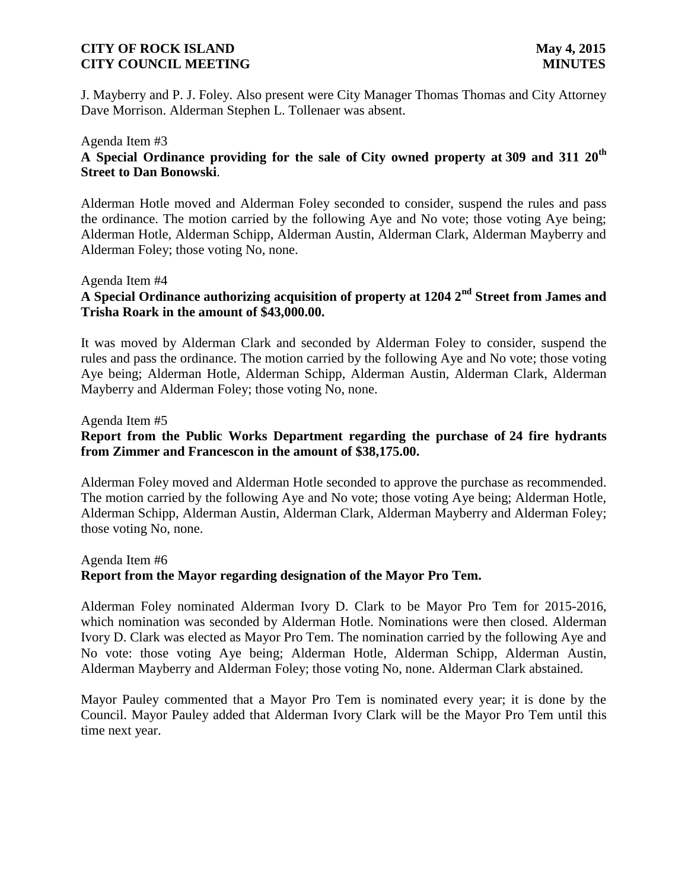J. Mayberry and P. J. Foley. Also present were City Manager Thomas Thomas and City Attorney Dave Morrison. Alderman Stephen L. Tollenaer was absent.

# Agenda Item #3 **A Special Ordinance providing for the sale of City owned property at 309 and 311 20th Street to Dan Bonowski**.

Alderman Hotle moved and Alderman Foley seconded to consider, suspend the rules and pass the ordinance. The motion carried by the following Aye and No vote; those voting Aye being; Alderman Hotle, Alderman Schipp, Alderman Austin, Alderman Clark, Alderman Mayberry and Alderman Foley; those voting No, none.

# Agenda Item #4

# **A Special Ordinance authorizing acquisition of property at 1204 2nd Street from James and Trisha Roark in the amount of \$43,000.00.**

It was moved by Alderman Clark and seconded by Alderman Foley to consider, suspend the rules and pass the ordinance. The motion carried by the following Aye and No vote; those voting Aye being; Alderman Hotle, Alderman Schipp, Alderman Austin, Alderman Clark, Alderman Mayberry and Alderman Foley; those voting No, none.

#### Agenda Item #5

# **Report from the Public Works Department regarding the purchase of 24 fire hydrants from Zimmer and Francescon in the amount of \$38,175.00.**

Alderman Foley moved and Alderman Hotle seconded to approve the purchase as recommended. The motion carried by the following Aye and No vote; those voting Aye being; Alderman Hotle, Alderman Schipp, Alderman Austin, Alderman Clark, Alderman Mayberry and Alderman Foley; those voting No, none.

#### Agenda Item #6

# **Report from the Mayor regarding designation of the Mayor Pro Tem.**

Alderman Foley nominated Alderman Ivory D. Clark to be Mayor Pro Tem for 2015-2016, which nomination was seconded by Alderman Hotle. Nominations were then closed. Alderman Ivory D. Clark was elected as Mayor Pro Tem. The nomination carried by the following Aye and No vote: those voting Aye being; Alderman Hotle, Alderman Schipp, Alderman Austin, Alderman Mayberry and Alderman Foley; those voting No, none. Alderman Clark abstained.

Mayor Pauley commented that a Mayor Pro Tem is nominated every year; it is done by the Council. Mayor Pauley added that Alderman Ivory Clark will be the Mayor Pro Tem until this time next year.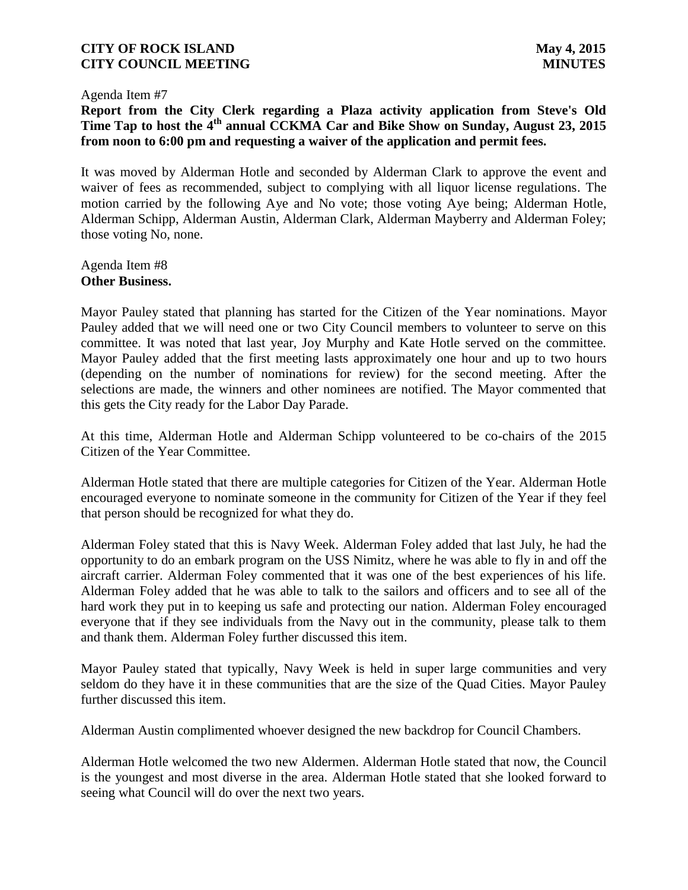#### Agenda Item #7

**Report from the City Clerk regarding a Plaza activity application from Steve's Old Time Tap to host the 4th annual CCKMA Car and Bike Show on Sunday, August 23, 2015 from noon to 6:00 pm and requesting a waiver of the application and permit fees.**

It was moved by Alderman Hotle and seconded by Alderman Clark to approve the event and waiver of fees as recommended, subject to complying with all liquor license regulations. The motion carried by the following Aye and No vote; those voting Aye being; Alderman Hotle, Alderman Schipp, Alderman Austin, Alderman Clark, Alderman Mayberry and Alderman Foley; those voting No, none.

Agenda Item #8 **Other Business.**

Mayor Pauley stated that planning has started for the Citizen of the Year nominations. Mayor Pauley added that we will need one or two City Council members to volunteer to serve on this committee. It was noted that last year, Joy Murphy and Kate Hotle served on the committee. Mayor Pauley added that the first meeting lasts approximately one hour and up to two hours (depending on the number of nominations for review) for the second meeting. After the selections are made, the winners and other nominees are notified. The Mayor commented that this gets the City ready for the Labor Day Parade.

At this time, Alderman Hotle and Alderman Schipp volunteered to be co-chairs of the 2015 Citizen of the Year Committee.

Alderman Hotle stated that there are multiple categories for Citizen of the Year. Alderman Hotle encouraged everyone to nominate someone in the community for Citizen of the Year if they feel that person should be recognized for what they do.

Alderman Foley stated that this is Navy Week. Alderman Foley added that last July, he had the opportunity to do an embark program on the USS Nimitz, where he was able to fly in and off the aircraft carrier. Alderman Foley commented that it was one of the best experiences of his life. Alderman Foley added that he was able to talk to the sailors and officers and to see all of the hard work they put in to keeping us safe and protecting our nation. Alderman Foley encouraged everyone that if they see individuals from the Navy out in the community, please talk to them and thank them. Alderman Foley further discussed this item.

Mayor Pauley stated that typically, Navy Week is held in super large communities and very seldom do they have it in these communities that are the size of the Quad Cities. Mayor Pauley further discussed this item.

Alderman Austin complimented whoever designed the new backdrop for Council Chambers.

Alderman Hotle welcomed the two new Aldermen. Alderman Hotle stated that now, the Council is the youngest and most diverse in the area. Alderman Hotle stated that she looked forward to seeing what Council will do over the next two years.